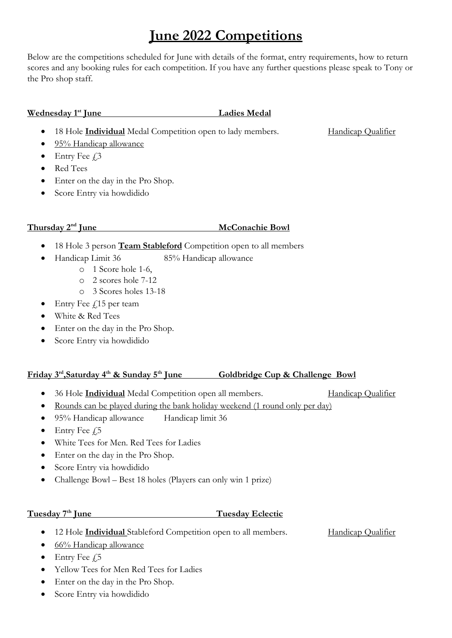# June 2022 Competitions

Below are the competitions scheduled for June with details of the format, entry requirements, how to return scores and any booking rules for each competition. If you have any further questions please speak to Tony or the Pro shop staff.

### Wednesday 1<sup>st</sup> June Ladies Medal

18 Hole **Individual** Medal Competition open to lady members. Handicap Qualifier

- 95% Handicap allowance
- $\bullet$  Entry Fee  $\ddagger$ 3
- Red Tees
- Enter on the day in the Pro Shop.
- Score Entry via howdidido

# Thursday  $2<sup>nd</sup>$  June McConachie Bowl

- 18 Hole 3 person **Team Stableford** Competition open to all members
- Handicap Limit 36 85% Handicap allowance
	- o 1 Score hole 1-6,
	- o 2 scores hole 7-12
	- o 3 Scores holes 13-18
- $\bullet$  Entry Fee  $\angle$ 15 per team
- White & Red Tees
- Enter on the day in the Pro Shop.
- Score Entry via howdidido

# Friday 3<sup>rd</sup>, Saturday 4<sup>th</sup> & Sunday 5<sup>th</sup> June Goldbridge Cup & Challenge Bowl

- 36 Hole **Individual** Medal Competition open all members. Handicap Qualifier
- Rounds can be played during the bank holiday weekend (1 round only per day)
- 95% Handicap allowance Handicap limit 36
- $\bullet$  Entry Fee  $f$ 5
- White Tees for Men. Red Tees for Ladies
- Enter on the day in the Pro Shop.
- Score Entry via howdidido
- Challenge Bowl Best 18 holes (Players can only win 1 prize)

### Tuesday 7<sup>th</sup> June Tuesday Eclectic

• 12 Hole *Individual* Stableford Competition open to all members. Handicap Qualifier

- 66% Handicap allowance
- $\bullet$  Entry Fee  $f$ <sub>5</sub>
- Yellow Tees for Men Red Tees for Ladies
- Enter on the day in the Pro Shop.
- Score Entry via howdidido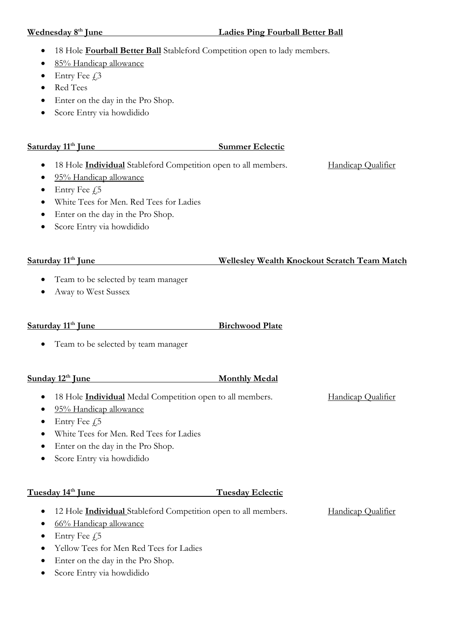## Wednesday 8<sup>th</sup> June **Ladies Ping Fourball Better Ball**

- 18 Hole Fourball Better Ball Stableford Competition open to lady members.
- 85% Handicap allowance
- $\bullet$  Entry Fee  $\ddagger$ 3
- Red Tees
- Enter on the day in the Pro Shop.
- Score Entry via howdidido

# Saturday 11<sup>th</sup> June Summer Eclectic

- 18 Hole **Individual** Stableford Competition open to all members. Handicap Qualifier
- 95% Handicap allowance
- $\bullet$  Entry Fee  $\sqrt{5}$
- White Tees for Men. Red Tees for Ladies
- Enter on the day in the Pro Shop.
- Score Entry via howdidido

- Team to be selected by team manager
- Away to West Sussex

### Saturday 11<sup>th</sup> June Birchwood Plate

• Team to be selected by team manager

### Sunday 12<sup>th</sup> June Monthly Medal

- 18 Hole **Individual** Medal Competition open to all members. Handicap Qualifier
- 95% Handicap allowance
- $\bullet$  Entry Fee  $\sqrt{5}$
- White Tees for Men. Red Tees for Ladies
- Enter on the day in the Pro Shop.
- Score Entry via howdidido

# Tuesday 14<sup>th</sup> June Tuesday Eclectic

- 12 Hole *Individual* Stableford Competition open to all members. Handicap Qualifier
- 66% Handicap allowance
- $\bullet$  Entry Fee  $\neq 5$
- Yellow Tees for Men Red Tees for Ladies
- Enter on the day in the Pro Shop.
- Score Entry via howdidido

### Saturday 11<sup>th</sup> June Wellesley Wealth Knockout Scratch Team Match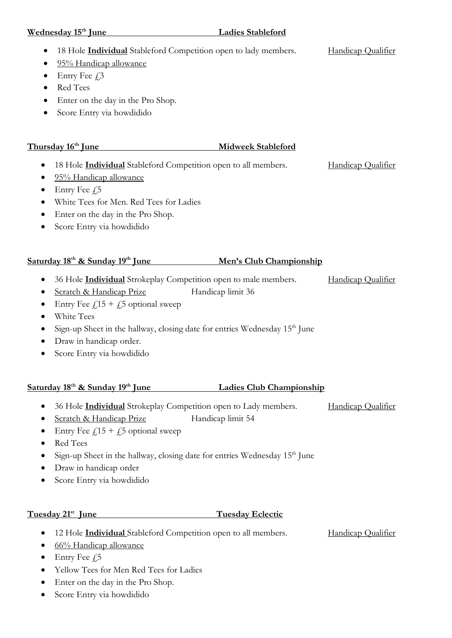### Wednesday 15<sup>th</sup> June Ladies Stableford

- 18 Hole Individual Stableford Competition open to lady members. Handicap Qualifier
- 95% Handicap allowance
- $\bullet$  Entry Fee  $\ddagger$ 3
- Red Tees
- Enter on the day in the Pro Shop.
- Score Entry via howdidido

## Thursday 16<sup>th</sup> June Midweek Stableford

- 18 Hole Individual Stableford Competition open to all members. Handicap Qualifier
- 95% Handicap allowance
- $\bullet$  Entry Fee  $f$ 5
- White Tees for Men. Red Tees for Ladies
- Enter on the day in the Pro Shop.
- Score Entry via howdidido

### Saturday 18<sup>th</sup> & Sunday 19<sup>th</sup> June Men's Club Championship

- 36 Hole **Individual** Strokeplay Competition open to male members. Handicap Qualifier
- Scratch & Handicap Prize Handicap limit 36
- Entry Fee  $f15 + f5$  optional sweep
- White Tees
- $\bullet$  Sign-up Sheet in the hallway, closing date for entries Wednesday 15<sup>th</sup> June
- Draw in handicap order.
- Score Entry via howdidido

# Saturday 18<sup>th</sup> & Sunday 19<sup>th</sup> June Ladies Club Championship

- 36 Hole *Individual* Strokeplay Competition open to Lady members. Handicap Qualifier
- Scratch & Handicap Prize Handicap limit 54
- Entry Fee  $f15 + f5$  optional sweep
- Red Tees
- Sign-up Sheet in the hallway, closing date for entries Wednesday 15<sup>th</sup> June
- Draw in handicap order
- Score Entry via howdidido

### Tuesday  $21^{st}$  June Tuesday Eclectic

- 12 Hole **Individual** Stableford Competition open to all members. Handicap Qualifier
	-

- 66% Handicap allowance
- $\bullet$  Entry Fee  $f$ 5
- Yellow Tees for Men Red Tees for Ladies
- Enter on the day in the Pro Shop.
- Score Entry via howdidido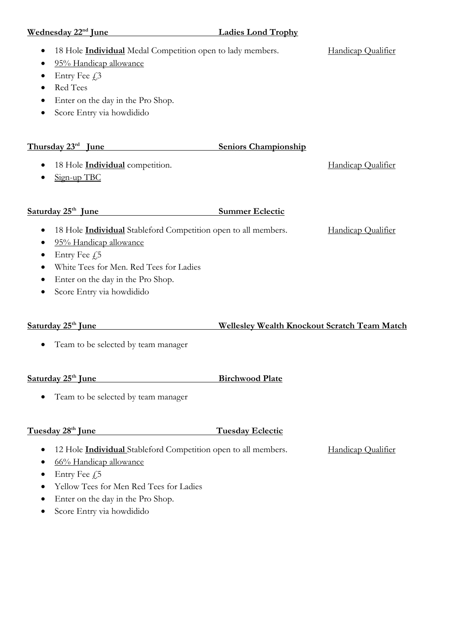| Wednesday 22 <sup>nd</sup> June                                                                                                                                                                                                                         | <b>Ladies Lond Trophy</b>                           |                    |
|---------------------------------------------------------------------------------------------------------------------------------------------------------------------------------------------------------------------------------------------------------|-----------------------------------------------------|--------------------|
| 18 Hole <b>Individual</b> Medal Competition open to lady members.<br>$\bullet$<br>95% Handicap allowance<br>Entry Fee £3<br>$\bullet$<br>Red Tees<br>Enter on the day in the Pro Shop.<br>Score Entry via howdidido<br>٠                                |                                                     | Handicap Qualifier |
| Thursday 23rd June                                                                                                                                                                                                                                      | <b>Seniors Championship</b>                         |                    |
| 18 Hole <i>Individual</i> competition.<br>Sign-up TBC                                                                                                                                                                                                   |                                                     | Handicap Qualifier |
| Saturday 25 <sup>th</sup> June                                                                                                                                                                                                                          | <b>Summer Eclectic</b>                              |                    |
| 18 Hole <b>Individual</b> Stableford Competition open to all members.<br>95% Handicap allowance<br>٠<br>Entry Fee $f$ ,5<br>White Tees for Men. Red Tees for Ladies<br>Enter on the day in the Pro Shop.<br>٠<br>Score Entry via howdidido<br>$\bullet$ |                                                     | Handicap Qualifier |
| Saturday 25 <sup>th</sup> June                                                                                                                                                                                                                          | <b>Wellesley Wealth Knockout Scratch Team Match</b> |                    |
| Team to be selected by team manager                                                                                                                                                                                                                     |                                                     |                    |
| Saturday 25 <sup>th</sup> June                                                                                                                                                                                                                          | <b>Birchwood Plate</b>                              |                    |
| Team to be selected by team manager<br>$\bullet$                                                                                                                                                                                                        |                                                     |                    |

# Tuesday 28<sup>th</sup> June Tuesday Eclectic

- 12 Hole *Individual* Stableford Competition open to all members. Handicap Qualifier
- 66% Handicap allowance
- Entry Fee  $\zeta$ 5
- Yellow Tees for Men Red Tees for Ladies
- Enter on the day in the Pro Shop.
- Score Entry via howdidido